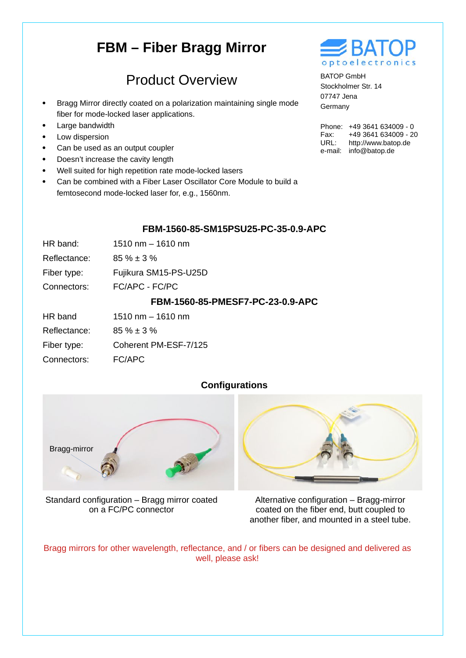# **FBM – Fiber Bragg Mirror**

## Product Overview

- Bragg Mirror directly coated on a polarization maintaining single mode fiber for mode-locked laser applications.
- Large bandwidth
- Low dispersion
- Can be used as an output coupler
- Doesn't increase the cavity length
- Well suited for high repetition rate mode-locked lasers
- Can be combined with a Fiber Laser Oscillator Core Module to build a femtosecond mode-locked laser for, e.g., 1560nm.



BATOP GmbH Stockholmer Str. 14 07747 Jena Germany

Phone: +49 3641 634009 - 0 Fax: URL: e-mail: info@batop.de +49 3641 634009 - 20 http://www.batop.de

#### **FBM-1560-85-SM15PSU25-PC-35-0.9-APC**

| HR band:<br>$1510 \text{ nm} - 1610 \text{ nm}$ |  |
|-------------------------------------------------|--|
|-------------------------------------------------|--|

- Reflectance: 85 % ± 3 %
- Fiber type: Fujikura SM15-PS-U25D
- Connectors: FC/APC - FC/PC

#### **FBM-1560-85-PMESF7-PC-23-0.9-APC**

- Reflectance: 85 % ± 3 %
- Fiber type: Coherent PM-ESF-7/125
- Connectors: FC/APC

### **Configurations**



Standard configuration – Bragg mirror coated on a FC/PC connector



Alternative configuration – Bragg-mirror coated on the fiber end, butt coupled to another fiber, and mounted in a steel tube.

Bragg mirrors for other wavelength, reflectance, and / or fibers can be designed and delivered as well, please ask!